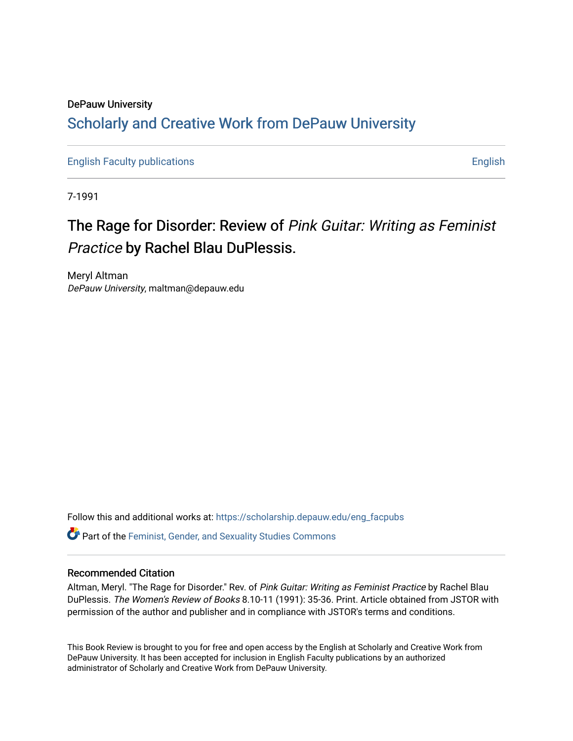## DePauw University Scholarly and [Creative Work from DePauw Univ](https://scholarship.depauw.edu/)ersity

[English Faculty publications](https://scholarship.depauw.edu/eng_facpubs) **English** English

7-1991

## The Rage for Disorder: Review of Pink Guitar: Writing as Feminist Practice by Rachel Blau DuPlessis.

Meryl Altman DePauw University, maltman@depauw.edu

Follow this and additional works at: [https://scholarship.depauw.edu/eng\\_facpubs](https://scholarship.depauw.edu/eng_facpubs?utm_source=scholarship.depauw.edu%2Feng_facpubs%2F16&utm_medium=PDF&utm_campaign=PDFCoverPages) 

Part of the [Feminist, Gender, and Sexuality Studies Commons](https://network.bepress.com/hgg/discipline/559?utm_source=scholarship.depauw.edu%2Feng_facpubs%2F16&utm_medium=PDF&utm_campaign=PDFCoverPages)

### Recommended Citation

Altman, Meryl. "The Rage for Disorder." Rev. of Pink Guitar: Writing as Feminist Practice by Rachel Blau DuPlessis. The Women's Review of Books 8.10-11 (1991): 35-36. Print. Article obtained from JSTOR with permission of the author and publisher and in compliance with JSTOR's terms and conditions.

This Book Review is brought to you for free and open access by the English at Scholarly and Creative Work from DePauw University. It has been accepted for inclusion in English Faculty publications by an authorized administrator of Scholarly and Creative Work from DePauw University.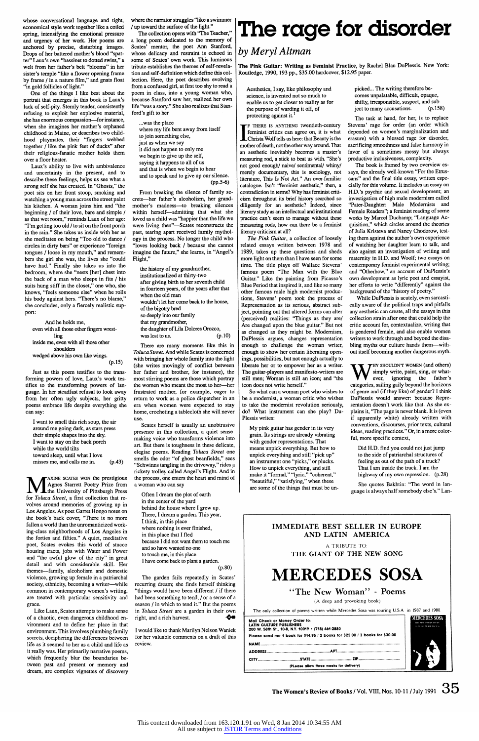**whose conversational language and tight, economical style work together like a coiled spring, intensifying the emotional pressure and urgency of her work. Her poems are anchored by precise, disturbing images.**  Drops of her battered mother's blood "spat**ter" Laux's own "bassinet to dotted swiss," a welt from her father's belt "blooms" in her sister's temple "like a flower opening frame by frame / in a nature film," and gnats float "in gold follicles of light."** 

**One of the things I like best about the portrait that emerges in this book is Laux's lack of self-pity. Stemly tender, consistently refusing to exploit her explosive material, she has enormous compassion-for instance, when she imagines her mother's orphaned childhood in Maine, or describes two childhood playmates, their "fingers webbed together / like the pink feet of ducks" after their religious-fanatic mother holds them over a floor heater.** 

**Laux's ability to live with ambivalence and uncertainty in the present, and to describe these feelings, helps us see what a strong self she has created. In "Ghosts," the poet sits on her front stoop, smoking and watching a young man across the street paint his kitchen. A woman joins him and "the beginning 1 of their love, bare and simple / as that wet room," reminds Laux of her age: "I'm getting too old / to sit on the front porch in the rain." She takes us inside with her as she meditates on being "Too old to dance / circles in dirty bars" or experience "foreign tongues / loose in my mouth," and remembers the girl she was, the lives she "could have had." Finally she takes us into the bedroom, where she "nests [her] chest into the back of a man who sleeps in fits 1 his suits hung stiff in the closet," one who, she knows, "feels someone else" when he rolls his body against hers. "There's no blame," she concludes, only a fiercely realistic support:** 

**And he holds me, even with all those other fingers wrestling inside me, even with all those other shoulders wedged above his own like wings. (p.15)** 

**Just as this poem testifies to the transforming powers of love, Laux's work testifies to the transforming powers of language. In her steadfast refusal to look away from her often ugly subjects, her gritty poems embrace life despite everything she can say:** 

**I want to smell this rich soup, the air around me going dark, as stars press their simple shapes into the sky. I want to stay on the back porch while the world tilts toward sleep, until what I love misses me, and calls me in. (p.43)**  **the history of my grandmother, institutionalized at thirty-two after giving birth to her seventh child in fourteen years, of the years after that when the old man wouldn't let her come back to the house, of the bigotry bred so deeply into our family that my grandmother, the daughter of Lila Dolores Orozco,**  was lost to us. (p. 10)

**<sup>M</sup>AXINE SCATES WON the prestigious Agnes Starrett Poetry Prize from the University of Pittsburgh Press for Toluca Street, a first collection that revolves around memories of growing up in Los Angeles. As poet Garret Hongo notes on the book's back cover, "There is no more fallen a world than the unromanticized working-class neighborhoods of Los Angeles in the forties and filfties."' A quiet, meditative poet, Scates evokes this world of stucco housing tracts, jobs with Water and Power and "the awful glow of the city" in great detail and with considerable skill. Her themes-family, alcoholism and domestic violence, growing up female in a patriarchal society, ethnicity, becoming a writer-while common in contemporary women's writing, are treated with particular sensitivity and grace. Like Laux, Scates attempts to make sense of a chaotic, even dangerous childhood environment and to define her place in that**  environment. This involves plumbing family **secrets, deciphering the differences between life as it seemed to her as a child and life as it really was. Her primarily narrative poems, which frequently blur the boundaries between past and present or memory and dreamn, are complex vignettes of discovery** 

**The garden fails repeatedly in Scates' recurring dream; she finds herself thinking "things would have been different / if there had been something to tend, / or a sense of a season / in which to tend it." But the poems in Toluca Street are a garden in their own right, and a rich harvest.**  ู⇔

**where the narrator struggles "like a swimmer 1 up toward the surface of the light."** 

**The collection opens with "The Teacher," a long poem dedicated to the memory of Scates' mentor, the poet Ann Stanford, whose delicacy and restraint is echoed in some of Scates' own work. This luminous tribute establishes the themes of self-revelation and self-definition which define this collection. Here, the poet describes evolving from a confused girl, at first too shy to read a poem in class, into a young woman who, because Stanford saw her, realized her own life "was a story." She also realizes that Stanford's gift to her** 

**...was the place where my life bent away from itself to join something else, just as when we say it did not happen to only me we begin to give up the self, saying it happens to all of us and that is when we begin to hear and to speak and to give up our silence. (pp.5-6)** 

**From breaking the silence of family secrets-her father's alcoholism, her grandmother's madness-to breaking silences within herself-admitting that what she loved as a child was "happier than the life we were living then"-Scates reconstructs the past, tearing apart received family mythology in the process. No longer the child who "loves looking back / because she cannot imagine the future," she learns, in "Angel's Flight,"** 

**There are many moments like this in Toluca Street. And while Scates is concemed with bringing her whole family into the light (she writes movingly of conflict between her father and brother, for instance), the most stirring poems are those which portray the women who meant the most to her-her frustrated mother, for example, eager to return to work as a police dispatcher in an era when women were expected to stay home, crocheting a tablecloth she will never use.** 

**Scates herself is usually an unobtrusive presence in this collection, a quiet sensemaking voice who transforms violence into art. But there is toughness in these delicate, elegiac poems. Reading Toluca Street one smells the odor "of ghost beanfields," sees "Schwinns tangling in the driveway," rides ~a**  rickety trolley called Angel's Flight. And in **the process, one enters the heart and mind of a woman who can say** 

**Often I dream the plot of earth in the center of the yard behind the house where 1 grew up. There, I dream a garden. This year, 1 think, in this place where nothing is ever finished, in this place that I fled because I did not want them to touch me** 

**and so have wanted no one to touch me, in this place 1 have come back to plant a garden. (p.8O)** 

**I would like to thank Marilyn Nelson Waniek**  for her valuable comments on a draft of this **review.** 

# **The rage for disorder**

## **by Meryl Altman**

**The Pink Guitar: Writing as Feminist Practice, by Rachel Blau DuPlessis. New York: Routledge, 1990, 193 pp., \$35.00 hardcover, \$12.95 paper.** 

**Aesthetics, I say, like philosophy and science, is invented not so much to enable us to get closer to reality as for the purpose of warding it off, of protecting against it.'** 

**<sup>I</sup>F THERE IS ANYTHUNG twentieth-century feminist critics can agree on, it is what Christa Wolf tells us here: that Beauty is the mother of death, not the other way around. That an aesthetic inevitably becomes a master's measuring rod, a stick to beat us with. "She's**  not good enough/ naive/ sentimental/ whiny/ **merely documentary, this is sociology, not literature, This Is Not Art." An over-familiar catalogue. Isn't "feminist aesthetic," then, a contradiction in tenns? Why has feminist criticism throughout its brief history searched so diligently for an aesthetic? Indeed, since literary study as an intellectual and institutional practice can't seem to manage without these measuring rods, how can there be a feminist literary criticism at all?** 

**The Pink Guitar, a collection of loosely related essays written between 1978 and 1989, takes up these questions and sheds more light on them than I have seen for some time. The title plays off Wallace Stevens' famous poem "The Man with the Blue Guitar." Like the painting from Picasso's Blue Period that inspired it, and like so many other famous male high modernist productions, Stevens' poem took the process of Representation as its serious, abstract subject, pointing out that altered forms can alter (perceived) realities: "Things as they are/ Are changed upon the blue guitar." But not as changed as they might be. Modemism, DuPlessis argues, changes representation enough to challenge the woman writer, enough to show her certain liberating openings, possibilities, but not enough actually to liberate her or to empower her as a writer. The guitar-players and manifesto-writers are still men; Woman is still an icon; and "the icon does not write herself."** 

**So what can a woman poet who wishes to be a modemist, a woman critic who wishes to take the modemist revolution seriously, do? What instrument can she play? Du-Plessis writes:** 

**My pink guitar has gender in its very grain. Its strings are already vibrating with gender representations. That means unpick everything. But how to unpick everything and still "pick up" an instrument one "picks," or plucks. How to unpick everything, and still make it "fornal," "lyric," "coherent," "beautiful," "satisfying," when these are some of the things that must be un-** **picked... The writing therefore becomes unpalatable, difficult, opaque, shifty, irresponsible, suspect, and subject to many accusations. (p. 158)** 

**The task at hand, for her, is to replace Stevens' rage for order (an order which depended on women's marginalization and erasure) with a blessed rage for disorder, sacrificing smoothness and false harnony in favor of a sometimes messy but always productive inclusiveness, complexity.** 

**The book is framed by two overview essays, the already well-known "For the Etruscans" and the final title essay, written especially for this volume. It includes an essay on H.D.'s psychic and sexual development; an investigation of high male modernism called "Pater-Daughter: Male Modemists and Female Readers"; a feminist reading of some works by Marcel Duchamp; "Language Acquisition," which circles around the theories of Julia Kristeva and Nancy Chodorow, testing them against the author's own experience of watching her daughter leam to talk, and also against an investigation of writing and matemity in H.D. and Woolf; two essays on contemporary feminist expenmental writing; and "Otherhow," an account of DuPlessis's own development as lyric poet and essayist, her efforts to write "differently" against the background of the "history of poetry."** 

**While DuPlessis is acutely, even sarcastically aware of the political traps and pitfalls any aesthetic can create, all the essays in this collection strain after one that could help the critic account for, contextualize, writing that is gendered female, and also enable women writers to work through and beyond the disabling myths our culture hands them-without itself becoming another dangerous myth.** 

**<sup>W</sup>HY SHOULDNT WOMEN (and others) simply write, paint, sing, or whatever, ignoring the father's categories, sailing gaily beyond the horizons of genre and (if they like) of gender? I think DuPlessis would answer: because Representation doesn't work like that. As she explains it, "The page is never blank. It is (even if apparently white) already written with conventions, discourses, prior texts, cultural ideas, reading practices." Or, in a more colorful, more specific context,** 

**Did H.D. find you could not just jump to the side of patriarchal structures of feeling as out of the path of a truck? That I am inside the truck. I am the highway of my own repression. (p.28)** 

**She quotes Bakhtin: "The word in language is always half somebody else's." Lan-**

### **IMMEDIATE BEST SELLER IN EUROPE AND LATIN AMERICA**

### **A TRIBUTE TO: THE GIANT OF THE NEW SONG**

## **MERCEDES SOSA**

**"The New Woman" - Poems** 

**(As deep and provoking book)** 

**The only collection of poems written while Mercedes Sosa was touring U.S.A in 1987 and 1988** 

| (PLease allow three weeks for delivery)                                               |  |                                                                               |                                                        |
|---------------------------------------------------------------------------------------|--|-------------------------------------------------------------------------------|--------------------------------------------------------|
|                                                                                       |  |                                                                               |                                                        |
|                                                                                       |  |                                                                               |                                                        |
|                                                                                       |  |                                                                               |                                                        |
|                                                                                       |  | Please send me 1 book for \$14.95 / 2 books for \$25.00 / 3 books for \$30.00 |                                                        |
| <b>LATIN CULTURE PUBLISHERS</b><br>200 W. 58th St., 10-B, N.Y. 10019 . (718) 461-2880 |  |                                                                               | <b>THE STRENGMEN ISO MS</b><br><b>TAXEDA MURRISONS</b> |
| Mail Check or Money Order to:                                                         |  |                                                                               |                                                        |

**The Women's Review of Books / Vol. VIII, Nos. 10-11 / July 1991 <sup>35</sup>**